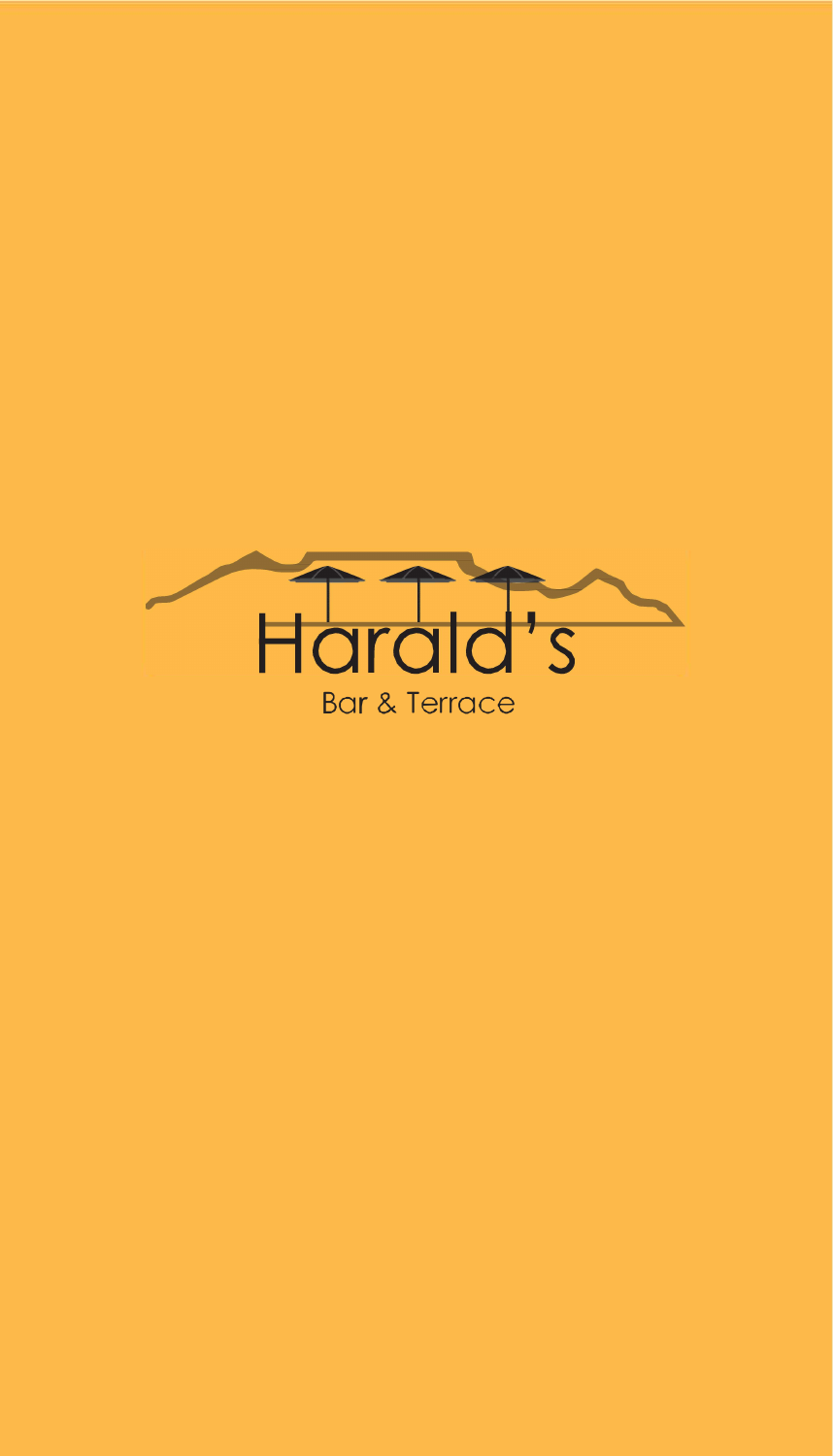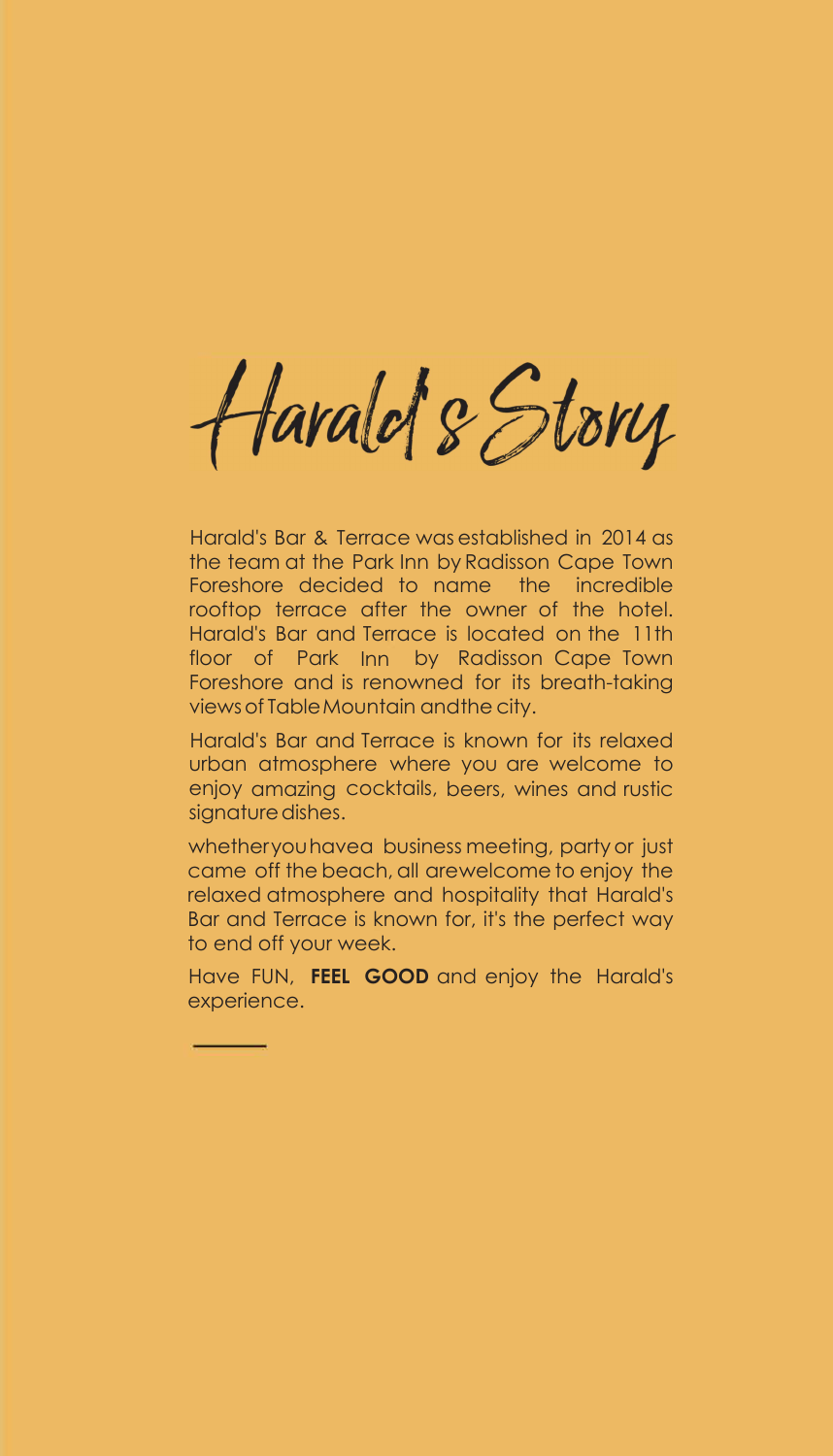Harald's Story

Harald's Bar & Terrace was established in 2014 as the team at the Park Inn by Radisson Cape Town Foreshore decided to name the incredible rooftop terrace after the owner of the hotel. Harald's Bar and Terrace is located on the 11th floor of Park Inn by Radisson Cape Town Foreshore and is renowned for its breath-taking views of Table Mountain and the city.

Harald's Bar and Terrace is known for its relaxed urban atmosphere where you are welcome to enjoy amazing cocktails, beers, wines and rustic signature dishes.

whether you have a business meeting, party or just came off the beach, all are welcome to enjoy the relaxed atmosphere and hospitality that Harald's Bar and Terrace is known for, it's the perfect way to end off your week.

Have FUN, **FEEL GOOD** and enjoy the Harald's experience.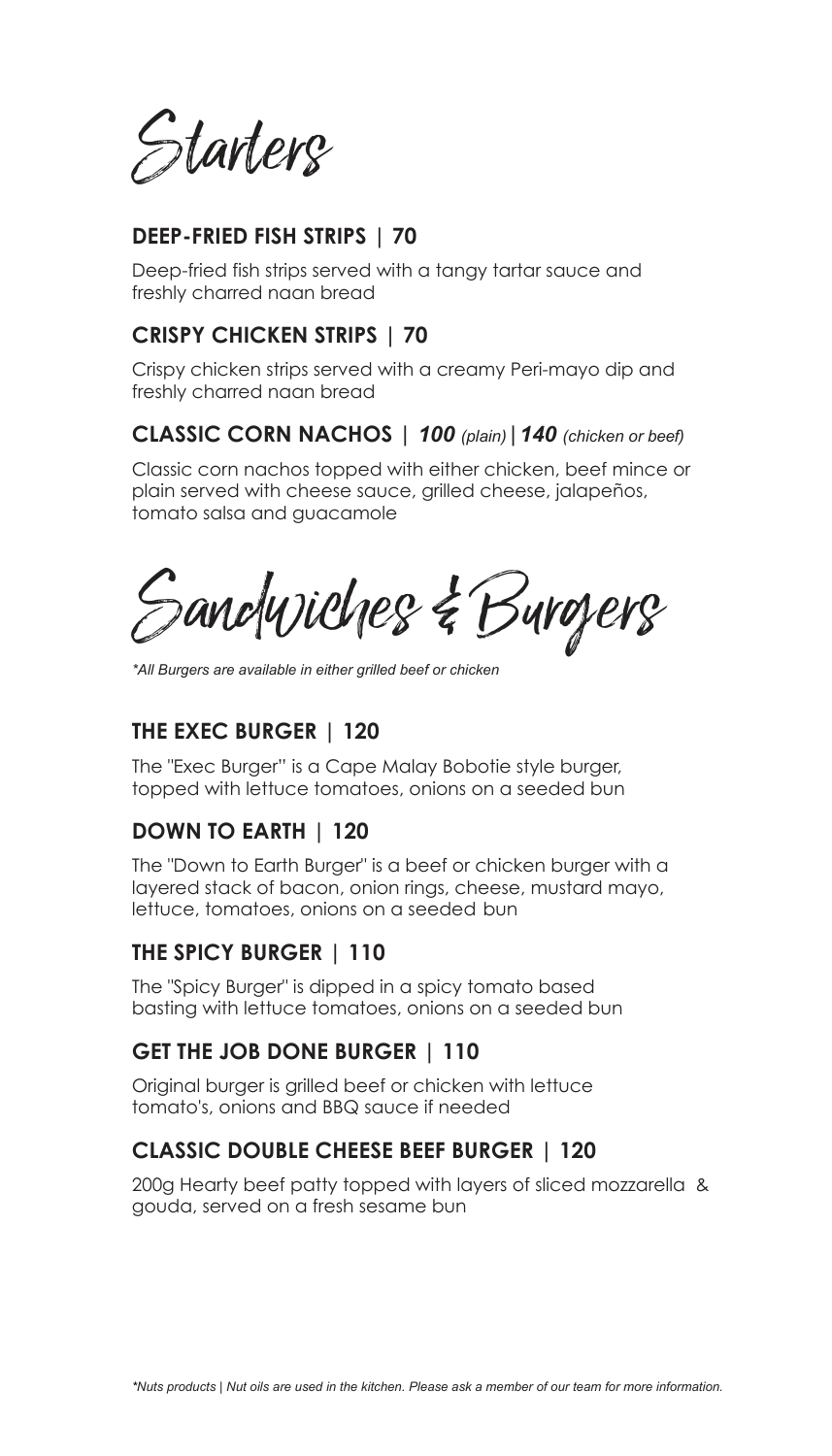Starters

## **DEEP-FRIED FISH STRIPS | 70**

Deep-fried fish strips served with a tangy tartar sauce and freshly charred naan bread

## **CRISPY CHICKEN STRIPS | 70**

Crispy chicken strips served with a creamy Peri-mayo dip and freshly charred naan bread

## **CLASSIC CORN NACHOS |** *100 (plain)***|***140 (chicken or beef)*

Classic corn nachos topped with either chicken, beef mince or plain served with cheese sauce, grilled cheese, jalapeños, tomato salsa and guacamole

Sandwiches & Burgers

*\*All Burgers are available in either grilled beef or chicken*

# **THE EXEC BURGER | 120**

The "Exec Burger" is a Cape Malay Bobotie style burger, topped with lettuce tomatoes, onions on a seeded bun

# **DOWN TO EARTH | 120**

The "Down to Earth Burger" is a beef or chicken burger with a layered stack of bacon, onion rings, cheese, mustard mayo, lettuce, tomatoes, onions on a seeded bun

## **THE SPICY BURGER | 110**

The "Spicy Burger" is dipped in a spicy tomato based basting with lettuce tomatoes, onions on a seeded bun

# **GET THE JOB DONE BURGER | 110**

Original burger is grilled beef or chicken with lettuce tomato's, onions and BBQ sauce if needed

## **CLASSIC DOUBLE CHEESE BEEF BURGER | 120**

200g Hearty beef patty topped with layers of sliced mozzarella & gouda, served on a fresh sesame bun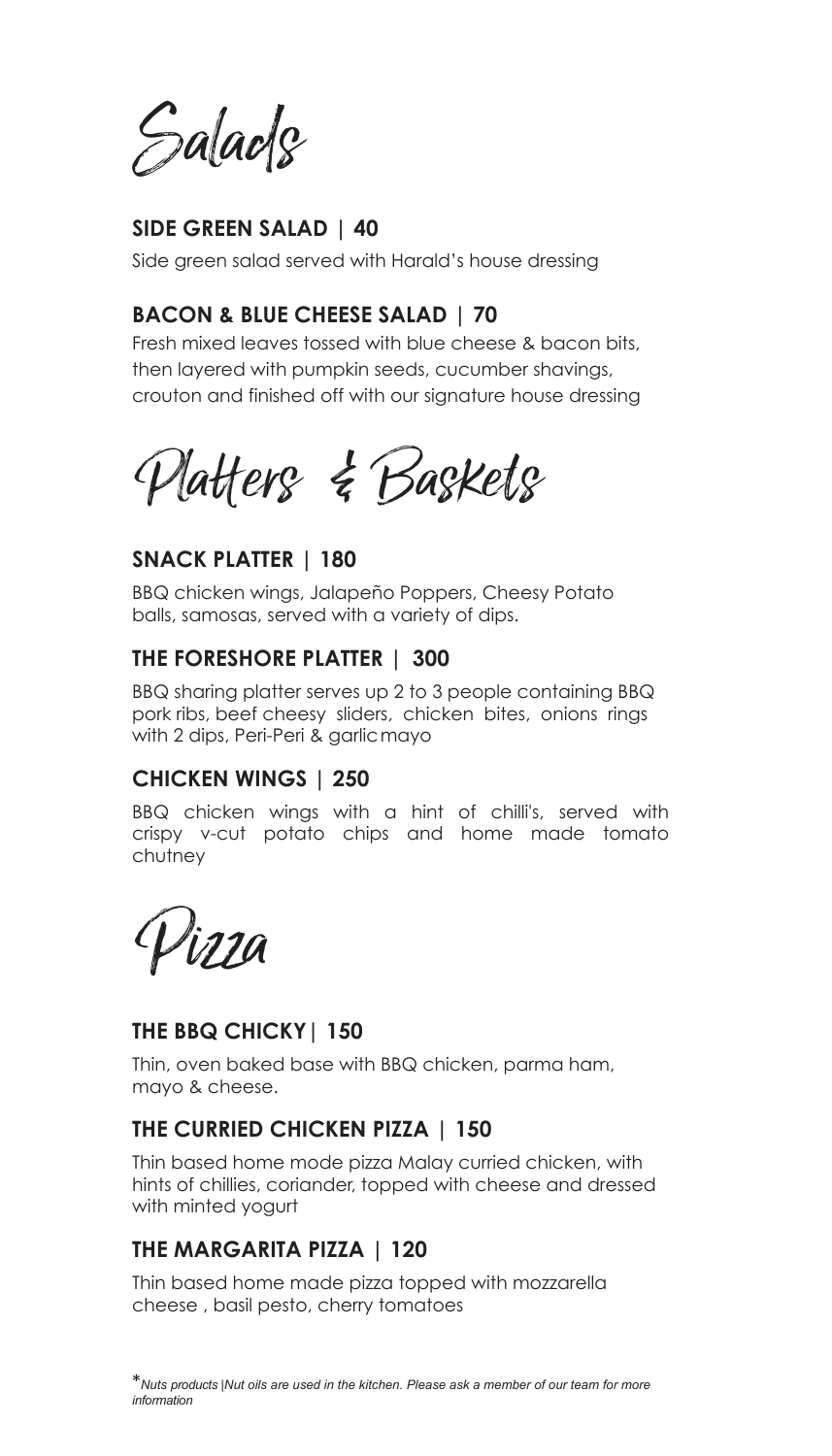Salads

# **SIDE GREEN SALAD | 40**

Side green salad served with Harald's house dressing

# **BACON & BLUE CHEESE SALAD | 70**

Fresh mixed leaves tossed with blue cheese & bacon bits, then layered with pumpkin seeds, cucumber shavings, crouton and finished off with our signature house dressing

Platters & Baskets

## **SNACK PLATTER | 180**

BBQ chicken wings, Jalapeño Poppers, Cheesy Potato balls, samosas, served with a variety of dips.

## **THE FORESHORE PLATTER | 300**

BBQ sharing platter serves up 2 to 3 people containing BBQ pork ribs, beef cheesy sliders, chicken bites, onions rings with 2 dips, Peri-Peri & garlic mayo

## **CHICKEN WINGS | 250**

BBQ chicken wings with a hint of chilli's, served with crispy v-cut potato chips and home made tomato chutney

Pizza

# **THE BBQ CHICKY| 150**

Thin, oven baked base with BBQ chicken, parma ham, mayo & cheese.

# **THE CURRIED CHICKEN PIZZA | 150**

Thin based home mode pizza Malay curried chicken, with hints of chillies, coriander, topped with cheese and dressed with minted yogurt

# **THE MARGARITA PIZZA | 120**

Thin based home made pizza topped with mozzarella cheese , basil pesto, cherry tomatoes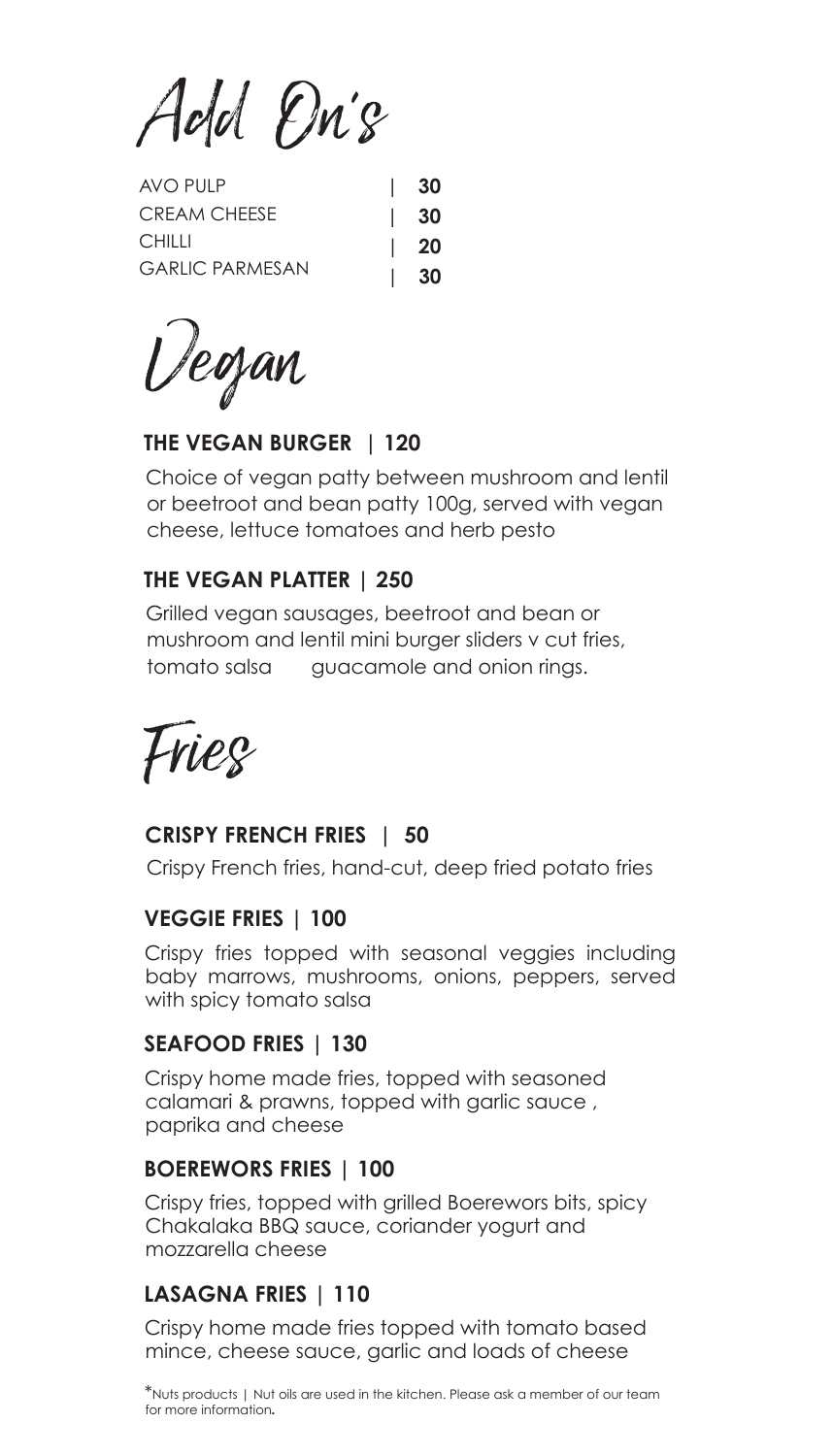Add Dn's

| AVO PULP               | $\vert$ 30 |
|------------------------|------------|
| <b>CREAM CHEESE</b>    | $\vert$ 30 |
| <b>CHILLI</b>          | $\vert$ 20 |
| <b>GARLIC PARMESAN</b> | - 30       |

Vegan

# **THE VEGAN BURGER | 120**

Choice of vegan patty between mushroom and lentil or beetroot and bean patty 100g, served with vegan cheese, lettuce tomatoes and herb pesto

# **THE VEGAN PLATTER | 250**

Grilled vegan sausages, beetroot and bean or mushroom and lentil mini burger sliders v cut fries, tomato salsa guacamole and onion rings.

Fries

## **CRISPY FRENCH FRIES | 50**

Crispy French fries, hand-cut, deep fried potato fries

## **VEGGIE FRIES | 100**

Crispy fries topped with seasonal veggies including baby marrows, mushrooms, onions, peppers, served with spicy tomato salsa

# **SEAFOOD FRIES | 130**

Crispy home made fries, topped with seasoned calamari & prawns, topped with garlic sauce , paprika and cheese

## **BOEREWORS FRIES | 100**

Crispy fries, topped with grilled Boerewors bits, spicy Chakalaka BBQ sauce, coriander yogurt and mozzarella cheese

# **LASAGNA FRIES | 110**

Crispy home made fries topped with tomato based mince, cheese sauce, garlic and loads of cheese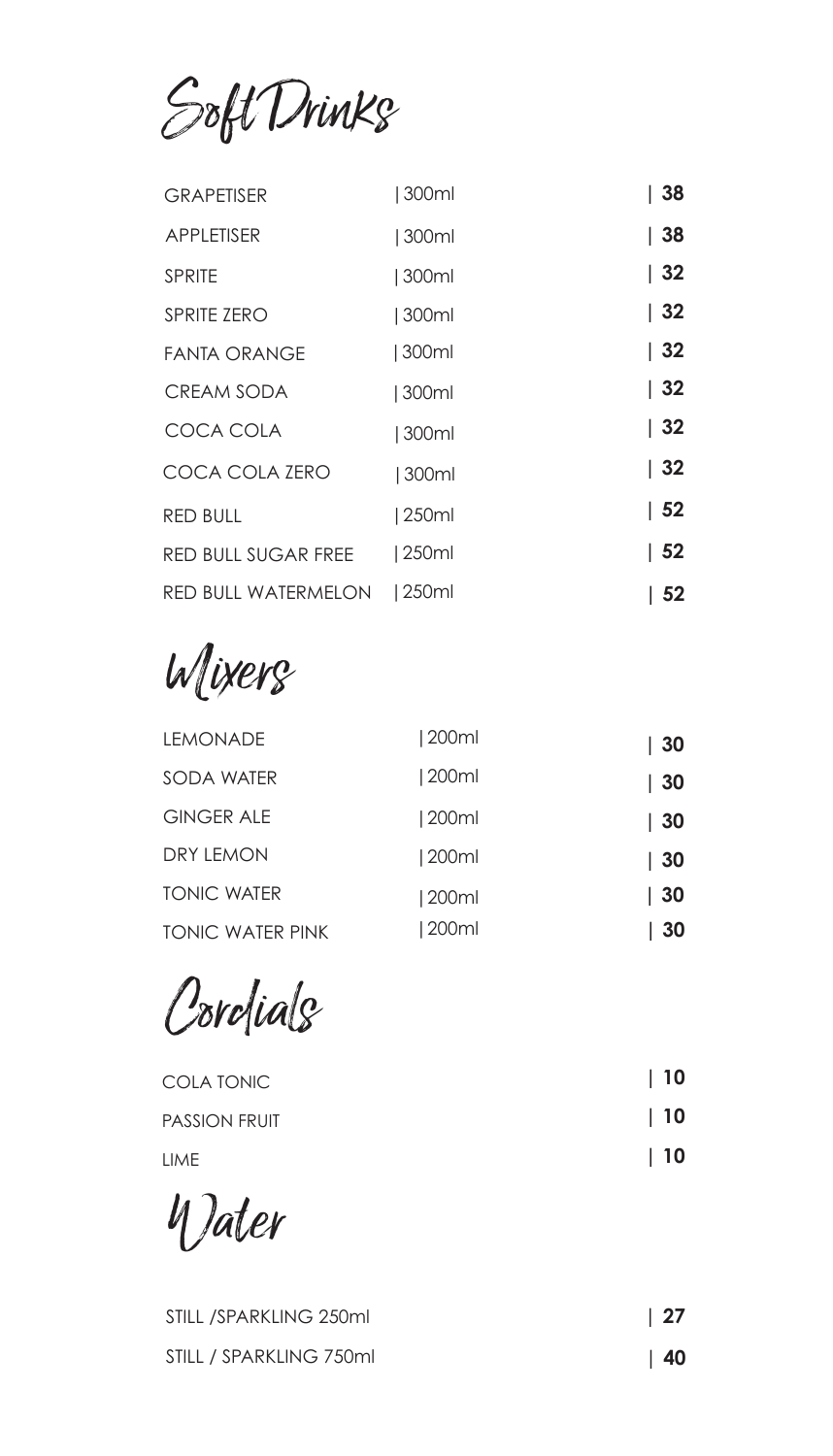Soft Drinks

| <b>GRAPETISER</b>          | 300ml | 38               |
|----------------------------|-------|------------------|
| <b>APPLETISER</b>          | 300ml | 38               |
| <b>SPRITE</b>              | 300ml | $\vert$ 32       |
| <b>SPRITE ZERO</b>         | 300ml | $\vert 32 \vert$ |
| FANTA ORANGE               | 300ml | 32               |
| CREAM SODA                 | 300ml | 32               |
| COCA COLA                  | 300ml | 32               |
| COCA COLA ZERO             | 300ml | 32               |
| <b>RED BULL</b>            | 250ml | 52               |
| <b>RED BULL SUGAR FREE</b> | 250ml | $\vert 52$       |
| RED BULL WATERMELON        | 250ml | 52               |

Mixers

| LEMONADE                | 200ml | $\vert 30$ |
|-------------------------|-------|------------|
| SODA WATER              | 200ml | 30         |
| <b>GINGER ALE</b>       | 200ml | $\vert$ 30 |
| DRY LEMON               | 200ml | $\vert 30$ |
| <b>TONIC WATER</b>      | 200ml | $\vert 30$ |
| <b>TONIC WATER PINK</b> | 200ml | 30         |

Cordials

| COLA TONIC    | $\vert$ 10 |
|---------------|------------|
| PASSION FRUIT | $\vert$ 10 |
| LIME          | $\vert$ 10 |

Water

| STILL /SPARKLING 250ml  | $\vert 27$ |
|-------------------------|------------|
| STILL / SPARKLING 750ml | $\vert$ 40 |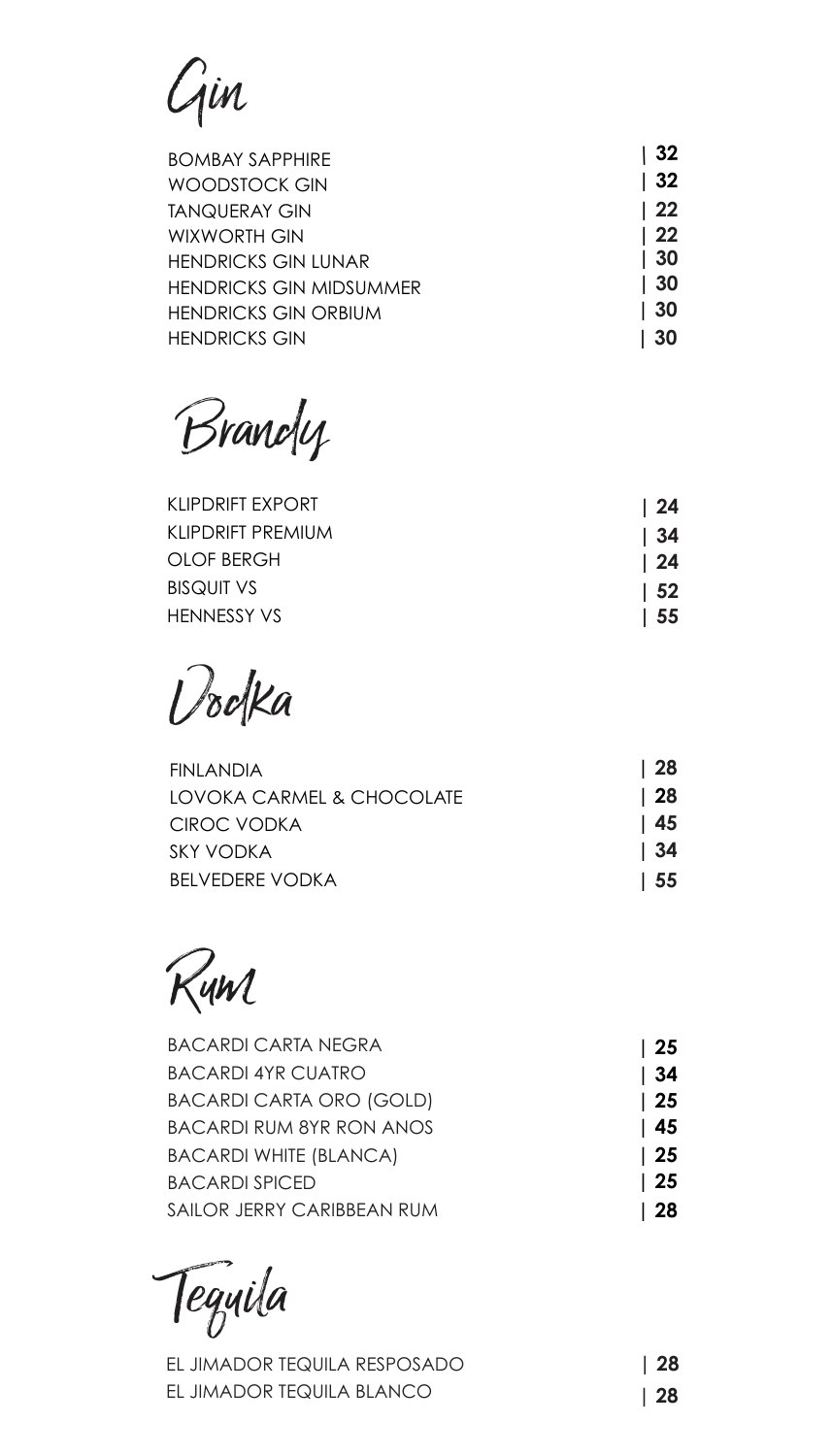# Gin

| <b>BOMBAY SAPPHIRE</b>         | 32               |
|--------------------------------|------------------|
| WOODSTOCK GIN                  | 32               |
| <b>TANQUERAY GIN</b>           | $\vert 22 \vert$ |
| WIXWORTH GIN                   | $\vert 22 \vert$ |
| <b>HENDRICKS GIN LUNAR</b>     | 30               |
| <b>HENDRICKS GIN MIDSUMMER</b> | 30               |
| <b>HENDRICKS GIN ORBIUM</b>    | 30               |
| <b>HENDRICKS GIN</b>           | 30               |

Brandy

| KLIPDRIFT FXPORT   | $\sqrt{24}$     |
|--------------------|-----------------|
| KLIPDRIFT PREMIUM  | - 34            |
| OLOF BERGH         | $\overline{24}$ |
| <b>BISQUIT VS</b>  | l 52            |
| <b>HENNESSY VS</b> | 55              |

Vodka

| FINI ANDIA                | l 28 |
|---------------------------|------|
| LOVOKA CARMEL & CHOCOLATE | l 28 |
| CIROC VODKA               | l 45 |
| SKY VODKA                 | l 34 |
| <b>BELVEDERE VODKA</b>    | -55  |

Rum

| <b>BACARDI CARTA NEGRA</b>      | l 25             |
|---------------------------------|------------------|
| <b>BACARDI 4YR CUATRO</b>       | 34               |
| <b>BACARDI CARTA ORO (GOLD)</b> | $\vert 25$       |
| <b>BACARDI RUM 8YR RON ANOS</b> | $\vert$ 45       |
| <b>BACARDI WHITE (BLANCA)</b>   | $\vert 25 \vert$ |
| <b>BACARDI SPICED</b>           | $\vert$ 25       |
| SAILOR JERRY CARIBBEAN RUM      | 28               |

Tequila

| EL JIMADOR TEQUILA RESPOSADO | $\vert$ 28 |
|------------------------------|------------|
| EL JIMADOR TEQUILA BLANCO    | $\vert$ 28 |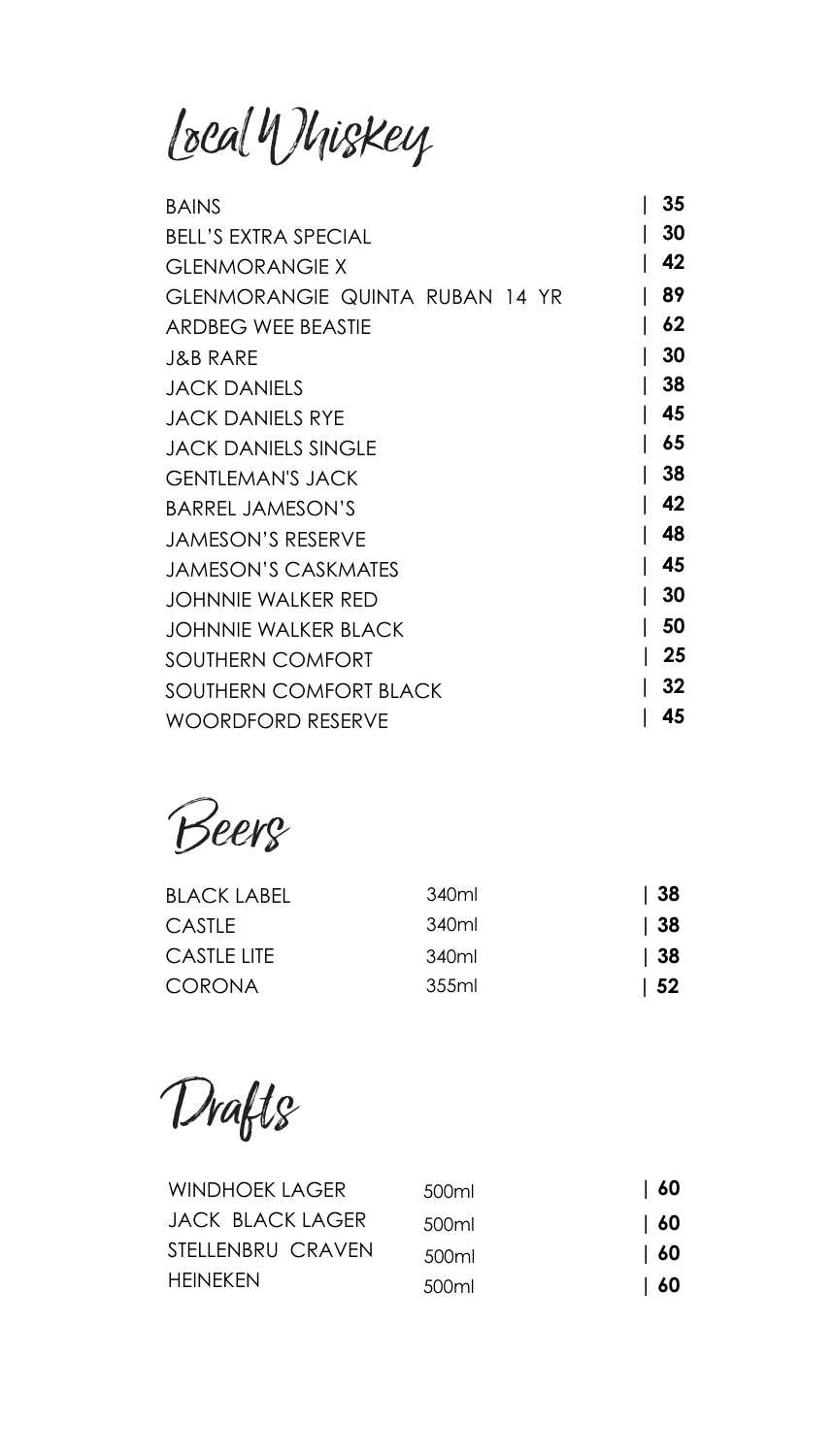Local Whiskey

| <b>BAINS</b>                    | 35 |
|---------------------------------|----|
| <b>BELL'S EXTRA SPECIAL</b>     | 30 |
| <b>GLENMORANGIE X</b>           | 42 |
| GLENMORANGIE QUINTA RUBAN 14 YR | 89 |
| <b>ARDBEG WEE BEASTIE</b>       | 62 |
| J&B RARE                        | 30 |
| <b>JACK DANIELS</b>             | 38 |
| JACK DANIELS RYE                | 45 |
| <b>JACK DANIELS SINGLE</b>      | 65 |
| GENTI EMAN'S JACK               | 38 |
| <b>BARREL JAMESON'S</b>         | 42 |
| <b>JAMESON'S RESERVE</b>        | 48 |
| <b>JAMESON'S CASKMATES</b>      | 45 |
| JOHNNIE WALKER RED              | 30 |
| JOHNNIF WAI KFR BI ACK          | 50 |
| SOUTHERN COMFORT                | 25 |
| <b>SOUTHERN COMFORT BLACK</b>   | 32 |
| WOORDFORD RESERVE               | 45 |

Beers

| <b>BLACK LABEL</b> | 340ml | 38   |
|--------------------|-------|------|
| CASTI F            | 340ml | 38   |
| CASTI F LITE       | 340ml | 38   |
| <b>CORONA</b>      | 355ml | - 52 |

Drafts

| WINDHOFK LAGFR    | 500ml | l 60      |
|-------------------|-------|-----------|
| JACK BLACK LAGER  | 500ml | l 60      |
| STELLENBRU CRAVEN | 500ml | <b>60</b> |
| HFINFKFN          | 500ml | 60        |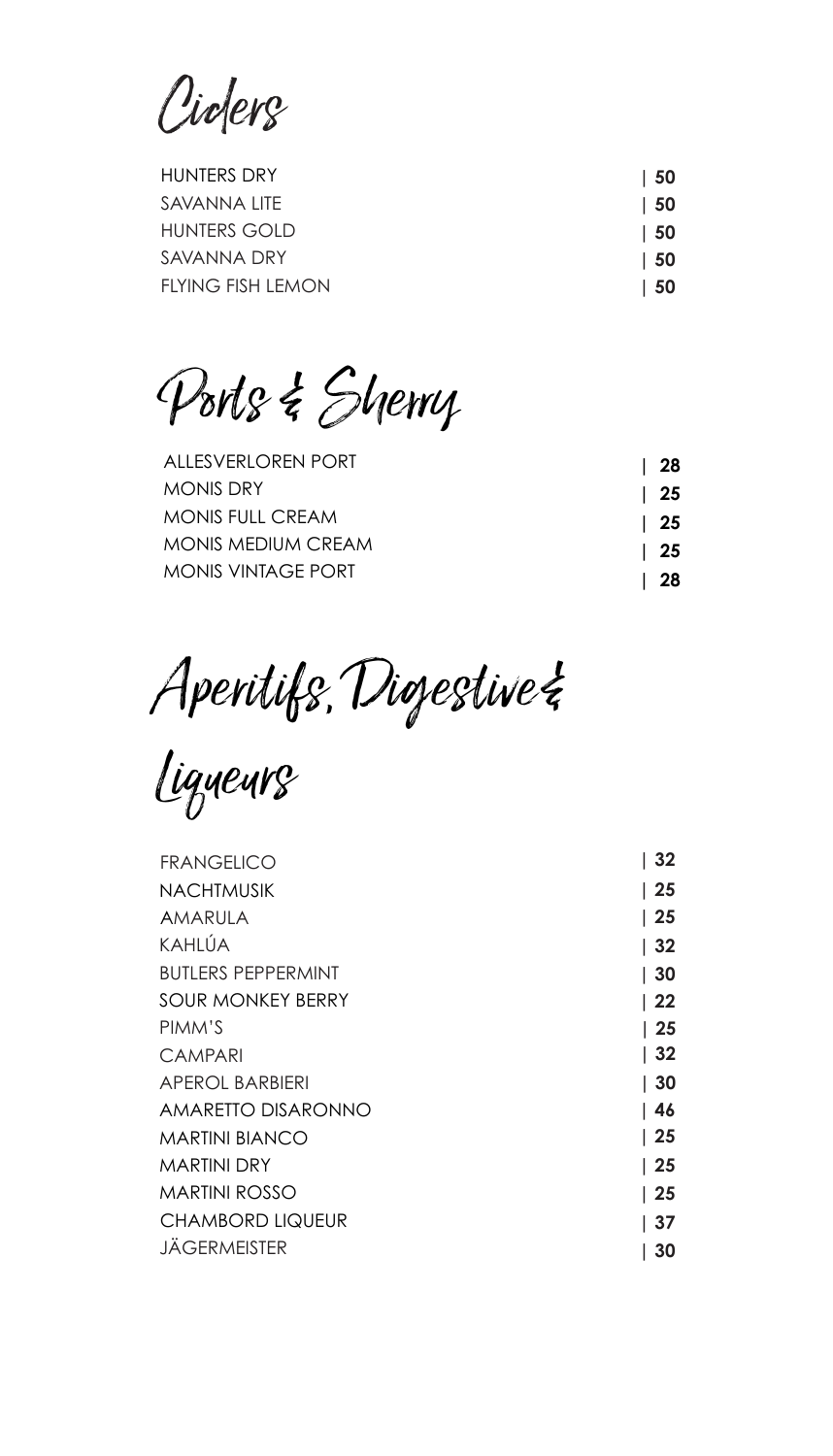Ciders

| <b>HUNTERS DRY</b>  | $\vert 50$ |
|---------------------|------------|
| SAVANNA LITE        | $\vert$ 50 |
| <b>HUNTERS GOLD</b> | $\vert$ 50 |
| SAVANNA DRY         | $\vert$ 50 |
| FLYING FISH LEMON   | $\vert 50$ |
|                     |            |

Ports & Sherry

| ALLESVERLOREN PORT        | l 28       |
|---------------------------|------------|
| <b>MONIS DRY</b>          | $\vert$ 25 |
| MONIS FULL CREAM          | $\vert$ 25 |
| <b>MONIS MEDIUM CREAM</b> | $\vert$ 25 |
| MONIS VINTAGE PORT        | 28         |

Aperitifs, Digestive &

Liqueurs

| <b>FRANGELICO</b>         | 32               |
|---------------------------|------------------|
| <b>NACHTMUSIK</b>         | 25               |
| AMARULA                   | 25               |
| <b>KAHLÚA</b>             | 32               |
| <b>BUTLERS PEPPERMINT</b> | 30               |
| <b>SOUR MONKEY BERRY</b>  | l 22             |
| PIMM'S                    | $\vert 25 \vert$ |
| <b>CAMPARI</b>            | 32               |
| <b>APEROL BARBIERI</b>    | 30               |
| AMARETTO DISARONNO        | ∣ 46             |
| <b>MARTINI BIANCO</b>     | l 25             |
| MARTINI DRY               | $\vert 25$       |
| <b>MARTINI ROSSO</b>      | l 25             |
| <b>CHAMBORD LIQUEUR</b>   | 37               |
| JAGERMEISTER              | 30               |
|                           |                  |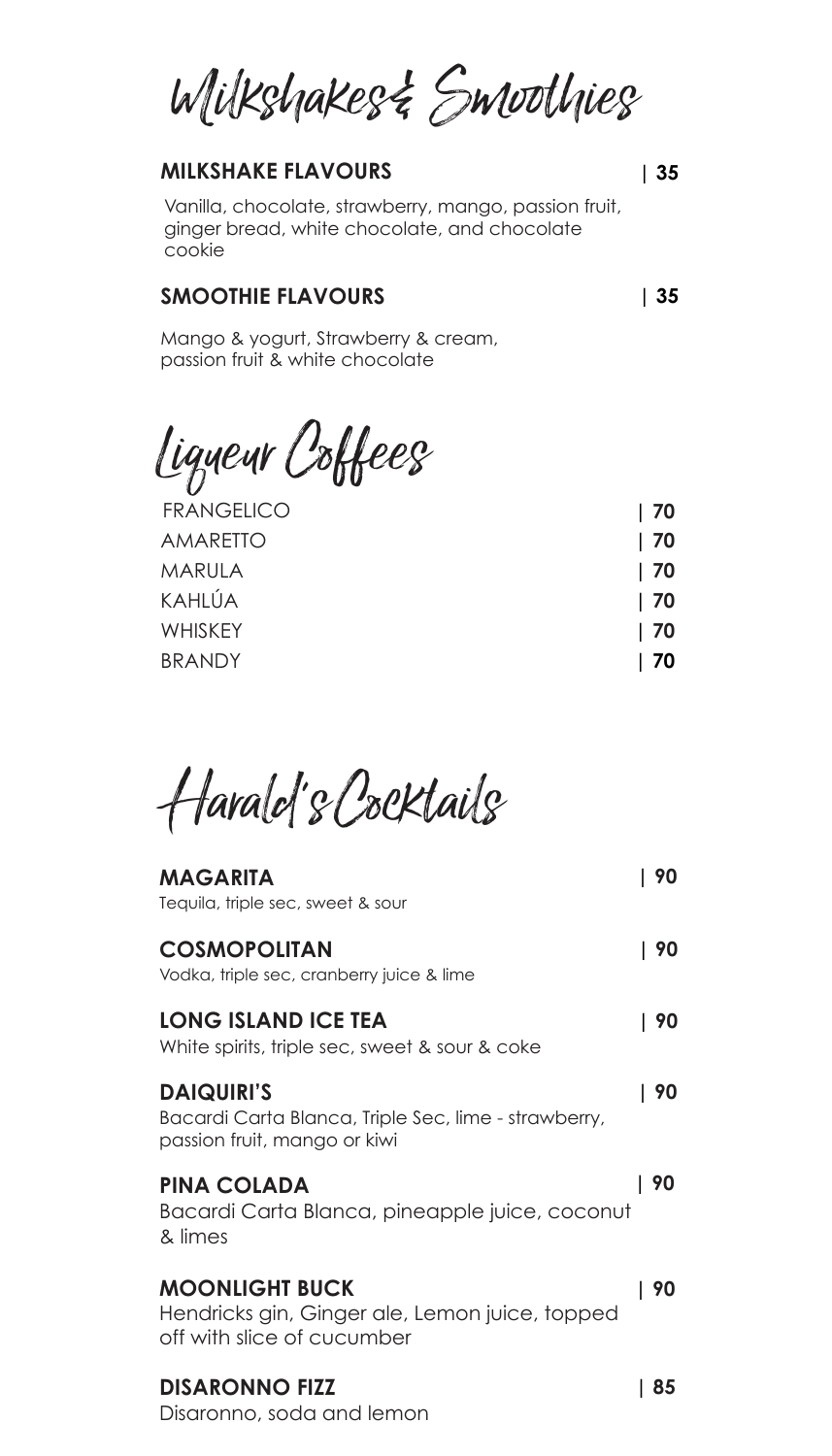Wilkshakes& Smoothies

## **MILKSHAKE FLAVOURS**

Vanilla, chocolate, strawberry, mango, passion fruit, ginger bread, white chocolate, and chocolate cookie

#### **SMOOTHIE FLAVOURS**

**| 35**

**| 35**

Mango & yogurt, Strawberry & cream, passion fruit & white chocolate

Liqueur Coffees

| <b>FRANGELICO</b> | 70 |
|-------------------|----|
| <b>AMARETTO</b>   | 70 |
| MARULA            | 70 |
| KAHLÚA            | 70 |
| <b>WHISKEY</b>    | 70 |
| <b>BRANDY</b>     | 70 |
|                   |    |

Harald's Cocktails

| <b>MAGARITA</b><br>Tequila, triple sec, sweet & sour                                                      | 90 |
|-----------------------------------------------------------------------------------------------------------|----|
| <b>COSMOPOLITAN</b><br>Vodka, triple sec, cranberry juice & lime                                          | 90 |
| LONG ISLAND ICE TEA<br>White spirits, triple sec, sweet & sour & coke                                     | 90 |
| <b>DAIQUIRI'S</b><br>Bacardi Carta Blanca, Triple Sec, lime - strawberry,<br>passion fruit, mango or kiwi | 90 |
| <b>PINA COLADA</b><br>Bacardi Carta Blanca, pineapple juice, coconut<br>& limes                           | 90 |
| <b>MOONLIGHT BUCK</b><br>Hendricks gin, Ginger ale, Lemon juice, topped<br>off with slice of cucumber     | 90 |
| <b>DISARONNO FIZZ</b><br>Disaronno, soda and lemon                                                        | 85 |